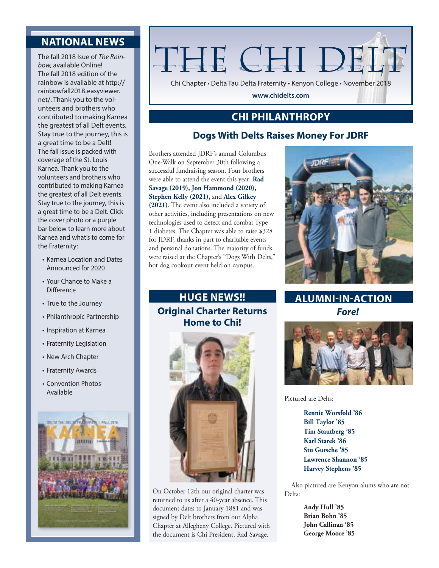## **NATIONAL NEWS**

The fall 2018 Isue of *The Rainbow,* available Online! The fall 2018 edition of the rainbow is available at http:// rainbowfall2018.easyviewer. net/. Thank you to the volunteers and brothers who contributed to making Karnea the greatest of all Delt events. Stay true to the journey, this is a great time to be a Delt! The fall issue is packed with coverage of the St. Louis Karnea. Thank you to the volunteers and brothers who contributed to making Karnea the greatest of all Delt events. Stay true to the journey, this is a great time to be a Delt. Click the cover photo or a purple bar below to learn more about Karnea and what's to come for the Fraternity:

- Karnea Location and Dates Announced for 2020
- Your Chance to Make a **Difference**
- True to the Journey
- Philanthropic Partnership
- Inspiration at Karnea
- Fraternity Legislation
- New Arch Chapter
- Fraternity Awards
- Convention Photos Available



# THE CHI DEL'

Chi Chapter • Delta Tau Delta Fraternity • Kenyon College • November 2018

**www.chidelts.com**

#### **CHI PHILANTHROPY**

#### **Dogs With Delts Raises Money For JDRF**

Brothers attended JDRF's annual Columbus One-Walk on September 30th following a successful fundraising season. Four brothers were able to attend the event this year: **Rad Savage (2019), Jon Hammond (2020), Stephen Kelly (2021),** and **Alex Gilkey (2021)**. The event also included a variety of other activities, including presentations on new technologies used to detect and combat Type 1 diabetes. The Chapter was able to raise \$328 for JDRF, thanks in part to charitable events and personal donations. The majority of funds were raised at the Chapter's "Dogs With Delts," hot dog cookout event held on campus.

# **Original Charter Returns Home to Chi!**



On October 12th our original charter was returned to us after a 40-year absence. This document dates to January 1881 and was signed by Delt brothers from our Alpha Chapter at Allegheny College. Pictured with the document is Chi President, Rad Savage.



*Fore!* **HUGE NEWS!! ALUMNI-IN-ACTION**



Pictured are Delts:

**Rennie Worsfold '86 Bill Taylor '85 Tim Stautberg '85 Karl Starek '86 Stu Gutsche '85 Lawrence Shannon '85 Harvey Stephens '85**

Also pictured are Kenyon alums who are not Delts:

> **Andy Hull '85 Brian Bohn '85 John Callinan '85 George Moore '85**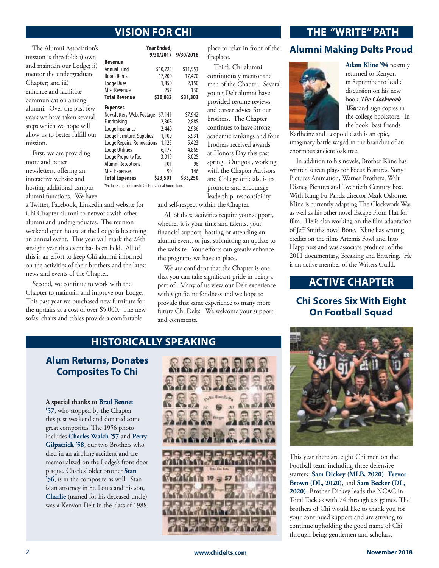**Year Ended,**

The Alumni Association's mission is threefold: i) own and maintain our Lodge; ii) mentor the undergraduate Chapter; and iii) enhance and facilitate communication among alumni. Over the past few years we have taken several steps which we hope will allow us to better fulfill our mission.

First, we are providing more and better newsletters, offering an interactive website and hosting additional campus alumni functions. We have

a Twitter, Facebook, Linkedin and website for Chi Chapter alumni to network with other alumni and undergraduates. The reunion weekend open house at the Lodge is becoming an annual event. This year will mark the 24th straight year this event has been held. All of this is an effort to keep Chi alumni informed on the activities of their brothers and the latest news and events of the Chapter.

Second, we continue to work with the Chapter to maintain and improve our Lodge. This past year we purchased new furniture for the upstairs at a cost of over \$5,000. The new sofas, chairs and tables provide a comfortable

|                                                        | 9/30/2017 | 9/30/2018 |
|--------------------------------------------------------|-----------|-----------|
| Revenue                                                |           |           |
| Annual Fund                                            | \$10,725  | \$11,553  |
| <b>Room Rents</b>                                      | 17,200    | 17,470    |
| <b>Lodge Dues</b>                                      | 1,850     | 2,150     |
| Misc Revenue                                           | 257       | 130       |
| <b>Total Revenue</b>                                   | \$30,032  | \$31,303  |
| <b>Expenses</b>                                        |           |           |
| Newsletters, Web, Postage                              | \$7,141   | \$7,942   |
| Fundraising                                            | 2,308     | 2,885     |
| Lodge Insurance                                        | 2,440     | 2,936     |
| Lodge Furniture, Supplies                              | 1,100     | 5,931     |
| Lodge Repairs, Renovations                             | 1,125     | 5,423     |
| <b>Lodge Utilities</b>                                 | 6,177     | 4,865     |
| <b>Lodge Property Tax</b>                              | 3,019     | 3,025     |
| <b>Alumni Receptions</b>                               | 101       | 96        |
| <b>Misc Expenses</b>                                   | 90        | 146       |
| <b>Total Expenses</b>                                  | \$23,501  | \$33,250  |
| *Excludes contributions to Chi Educational Foundation. |           |           |

place to relax in front of the fireplace.

Third, Chi alumni continuously mentor the men of the Chapter. Several young Delt alumni have provided resume reviews and career advice for our brothers. The Chapter continues to have strong academic rankings and four brothers received awards at Honors Day this past spring. Our goal, working with the Chapter Advisors and College officials, is to promote and encourage leadership, responsibility

and self-respect within the Chapter.

All of these activities require your support, whether it is your time and talents, your financial support, hosting or attending an alumni event, or just submitting an update to the website. Your efforts can greatly enhance the programs we have in place.

We are confident that the Chapter is one that you can take significant pride in being a part of. Many of us view our Delt experience with significant fondness and we hope to provide that same experience to many more future Chi Delts. We welcome your support and comments.

#### **VISION FOR CHI THE "WRITE" PATH**

#### **Alumni Making Delts Proud**



**Adam Kline '94** recently returned to Kenyon in September to lead a discussion on his new book *The Clockwork War* and sign copies in the college bookstore. In the book, best friends

Karlheinz and Leopold clash is an epic, imaginary battle waged in the branches of an enormous ancient oak tree.

In addition to his novels, Brother Kline has written screen plays for Focus Features, Sony Pictures Animation, Warner Brothers, Walt Disney Pictures and Twentieth Century Fox. With Kung Fu Panda director Mark Osborne, Kline is currently adapting The Clockwork War as well as his other novel Escape From Hat for film. He is also working on the film adaptation of Jeff Smith's novel Bone. Kline has writing credits on the films Artemis Fowl and Into Happiness and was associate producer of the 2011 documentary, Breaking and Entering. He is an active member of the Writers Guild.

#### **ACTIVE CHAPTER**

#### **Chi Scores Six With Eight On Football Squad**

#### **HISTORICALLY SPEAKING**

**Alum Returns, Donates Composites To Chi**

**A special thanks to Brad Bennet '57**, who stopped by the Chapter this past weekend and donated some great composites! The 1956 photo includes **Charles Walch '57** and **Perry Gilpatrick '58**, our two Brothers who died in an airplane accident and are memorialized on the Lodge's front door plaque. Charles' older brother **Stan '56**, is in the composite as well. Stan is an attorney in St. Louis and his son, **Charlie** (named for his deceased uncle) was a Kenyon Delt in the class of 1988.





This year there are eight Chi men on the Football team including three defensive starters: **Sam Dickey (MLB, 2020)**, **Trevor Brown (DL, 2020)**, and **Sam Becker (DL, 2020)**. Brother Dickey leads the NCAC in Total Tackles with 74 through six games. The brothers of Chi would like to thank you for your continued support and are striving to continue upholding the good name of Chi through being gentlemen and scholars.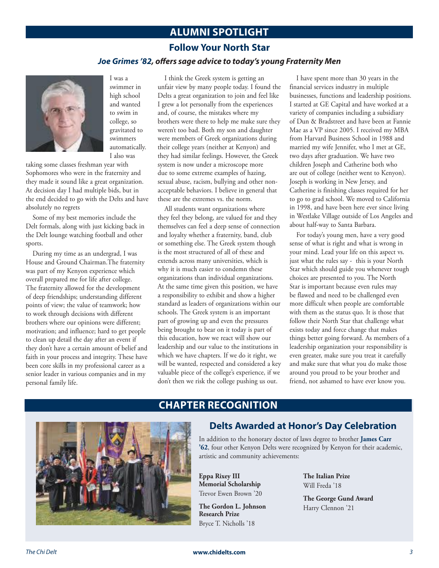#### **ALUMNI SPOTLIGHT**

#### **Follow Your North Star**

#### *Joe Grimes '82, offers sage advice to today's young Fraternity Men*



I was a swimmer in high school and wanted to swim in college, so gravitated to swimmers automatically. I also was

taking some classes freshman year with Sophomores who were in the fraternity and they made it sound like a great organization. At decision day I had multiple bids, but in the end decided to go with the Delts and have absolutely no regrets

Some of my best memories include the Delt formals, along with just kicking back in the Delt lounge watching football and other sports.

During my time as an undergrad, I was House and Ground Chairman.The fraternity was part of my Kenyon experience which overall prepared me for life after college. The fraternity allowed for the development of deep friendships; understanding different points of view; the value of teamwork; how to work through decisions with different brothers where our opinions were different; motivation; and influence; hard to get people to clean up detail the day after an event if they don't have a certain amount of belief and faith in your process and integrity. These have been core skills in my professional career as a senior leader in various companies and in my personal family life.

I think the Greek system is getting an unfair view by many people today. I found the Delts a great organization to join and feel like I grew a lot personally from the experiences and, of course, the mistakes where my brothers were there to help me make sure they weren't too bad. Both my son and daughter were members of Greek organizations during their college years (neither at Kenyon) and they had similar feelings. However, the Greek system is now under a microscope more due to some extreme examples of hazing, sexual abuse, racism, bullying and other nonacceptable behaviors. I believe in general that these are the extremes vs. the norm.

All students want organizations where they feel they belong, are valued for and they themselves can feel a deep sense of connection and loyalty whether a fraternity, band, club or something else. The Greek system though is the most structured of all of these and extends across many universities, which is why it is much easier to condemn these organizations than individual organizations. At the same time given this position, we have a responsibility to exhibit and show a higher standard as leaders of organizations within our schools. The Greek system is an important part of growing up and even the pressures being brought to bear on it today is part of this education, how we react will show our leadership and our value to the institutions in which we have chapters. If we do it right, we will be wanted, respected and considered a key valuable piece of the college's experience, if we don't then we risk the college pushing us out.

I have spent more than 30 years in the financial services industry in multiple businesses, functions and leadership positions. I started at GE Capital and have worked at a variety of companies including a subsidiary of Dun & Bradstreet and have been at Fannie Mae as a VP since 2005. I received my MBA from Harvard Business School in 1988 and married my wife Jennifer, who I met at GE, two days after graduation. We have two children Joseph and Catherine both who are out of college (neither went to Kenyon). Joseph is working in New Jersey, and Catherine is finishing classes required for her to go to grad school. We moved to California in 1998, and have been here ever since living in Westlake Village outside of Los Angeles and about half-way to Santa Barbara.

For today's young men, have a very good sense of what is right and what is wrong in your mind. Lead your life on this aspect vs. just what the rules say - this is your North Star which should guide you whenever tough choices are presented to you. The North Star is important because even rules may be flawed and need to be challenged even more difficult when people are comfortable with them as the status quo. It is those that follow their North Star that challenge what exists today and force change that makes things better going forward. As members of a leadership organization your responsibility is even greater, make sure you treat it carefully and make sure that what you do make those around you proud to be your brother and friend, not ashamed to have ever know you.



#### **CHAPTER RECOGNITION**

#### **Delts Awarded at Honor's Day Celebration**

In addition to the honorary doctor of laws degree to brother **James Carr '62**, four other Kenyon Delts were recognized by Kenyon for their academic, artistic and community achievements:

**Eppa Rixey III Memorial Scholarship** Trevor Ewen Brown '20

**The Gordon L. Johnson Research Prize** Bryce T. Nicholls '18

**The Italian Prize** Will Freda '18

**The George Gund Award** Harry Clennon '21